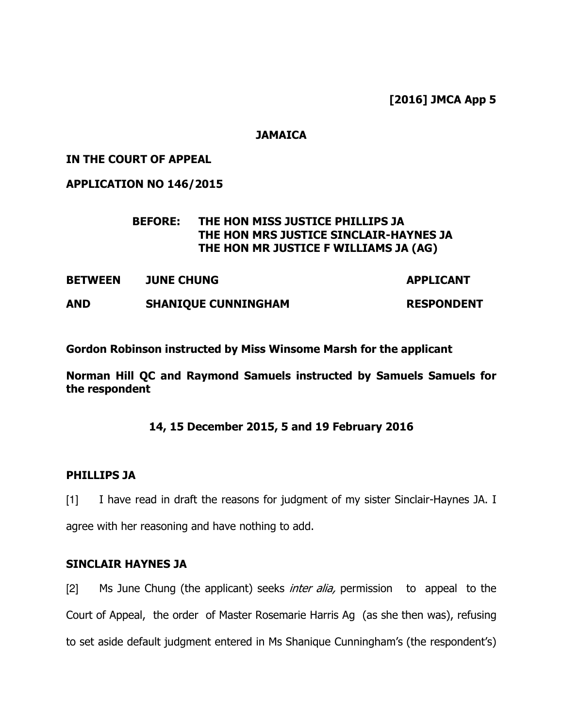[2016] JMCA App 5

#### **JAMAICA**

#### IN THE COURT OF APPEAL

APPLICATION NO 146/2015

## BEFORE: THE HON MISS JUSTICE PHILLIPS JA THE HON MRS JUSTICE SINCLAIR-HAYNES JA THE HON MR JUSTICE F WILLIAMS JA (AG)

BETWEEN JUNE CHUNG APPLICANT

AND SHANIQUE CUNNINGHAM RESPONDENT

Gordon Robinson instructed by Miss Winsome Marsh for the applicant

Norman Hill QC and Raymond Samuels instructed by Samuels Samuels for the respondent

## 14, 15 December 2015, 5 and 19 February 2016

#### PHILLIPS JA

[1] I have read in draft the reasons for judgment of my sister Sinclair-Haynes JA. I agree with her reasoning and have nothing to add.

#### SINCLAIR HAYNES JA

[2] Ms June Chung (the applicant) seeks *inter alia*, permission to appeal to the Court of Appeal, the order of Master Rosemarie Harris Ag (as she then was), refusing to set aside default judgment entered in Ms Shanique Cunningham's (the respondent's)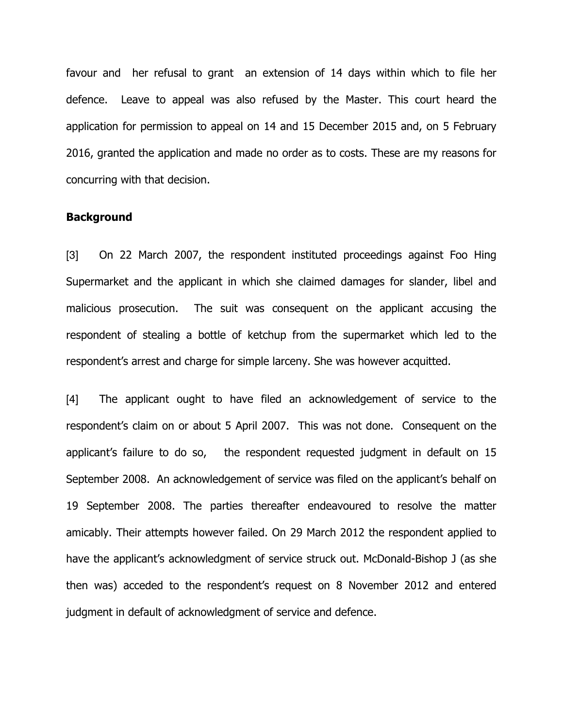favour and her refusal to grant an extension of 14 days within which to file her defence. Leave to appeal was also refused by the Master. This court heard the application for permission to appeal on 14 and 15 December 2015 and, on 5 February 2016, granted the application and made no order as to costs. These are my reasons for concurring with that decision.

#### **Background**

[3] On 22 March 2007, the respondent instituted proceedings against Foo Hing Supermarket and the applicant in which she claimed damages for slander, libel and malicious prosecution. The suit was consequent on the applicant accusing the respondent of stealing a bottle of ketchup from the supermarket which led to the respondent's arrest and charge for simple larceny. She was however acquitted.

[4] The applicant ought to have filed an acknowledgement of service to the respondent's claim on or about 5 April 2007. This was not done. Consequent on the applicant's failure to do so, the respondent requested judgment in default on 15 September 2008. An acknowledgement of service was filed on the applicant's behalf on 19 September 2008. The parties thereafter endeavoured to resolve the matter amicably. Their attempts however failed. On 29 March 2012 the respondent applied to have the applicant's acknowledgment of service struck out. McDonald-Bishop J (as she then was) acceded to the respondent's request on 8 November 2012 and entered judgment in default of acknowledgment of service and defence.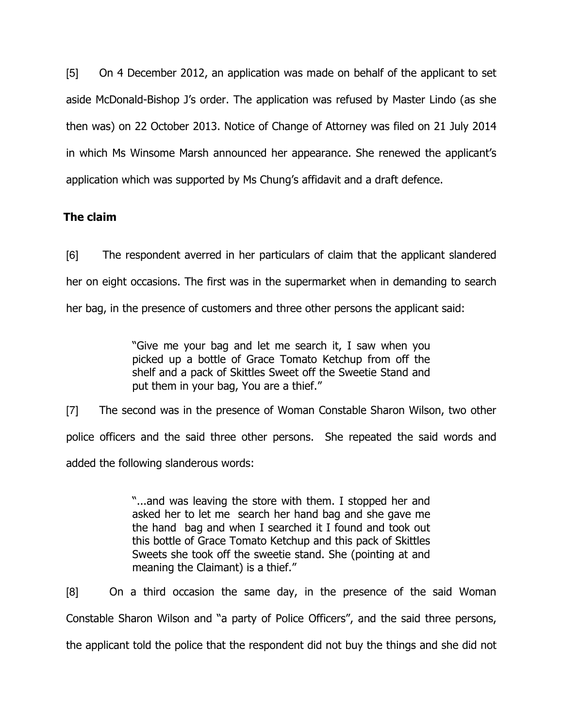[5] On 4 December 2012, an application was made on behalf of the applicant to set aside McDonald-Bishop J's order. The application was refused by Master Lindo (as she then was) on 22 October 2013. Notice of Change of Attorney was filed on 21 July 2014 in which Ms Winsome Marsh announced her appearance. She renewed the applicant's application which was supported by Ms Chung's affidavit and a draft defence.

# The claim

[6] The respondent averred in her particulars of claim that the applicant slandered her on eight occasions. The first was in the supermarket when in demanding to search her bag, in the presence of customers and three other persons the applicant said:

> "Give me your bag and let me search it, I saw when you picked up a bottle of Grace Tomato Ketchup from off the shelf and a pack of Skittles Sweet off the Sweetie Stand and put them in your bag, You are a thief."

[7] The second was in the presence of Woman Constable Sharon Wilson, two other police officers and the said three other persons. She repeated the said words and added the following slanderous words:

> "...and was leaving the store with them. I stopped her and asked her to let me search her hand bag and she gave me the hand bag and when I searched it I found and took out this bottle of Grace Tomato Ketchup and this pack of Skittles Sweets she took off the sweetie stand. She (pointing at and meaning the Claimant) is a thief."

[8] On a third occasion the same day, in the presence of the said Woman Constable Sharon Wilson and "a party of Police Officers", and the said three persons, the applicant told the police that the respondent did not buy the things and she did not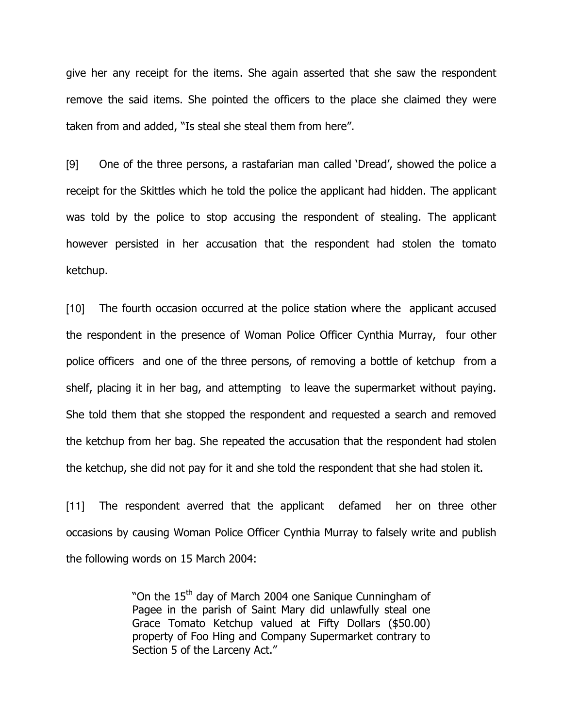give her any receipt for the items. She again asserted that she saw the respondent remove the said items. She pointed the officers to the place she claimed they were taken from and added, "Is steal she steal them from here".

[9] One of the three persons, a rastafarian man called 'Dread', showed the police a receipt for the Skittles which he told the police the applicant had hidden. The applicant was told by the police to stop accusing the respondent of stealing. The applicant however persisted in her accusation that the respondent had stolen the tomato ketchup.

[10] The fourth occasion occurred at the police station where the applicant accused the respondent in the presence of Woman Police Officer Cynthia Murray, four other police officers and one of the three persons, of removing a bottle of ketchup from a shelf, placing it in her bag, and attempting to leave the supermarket without paying. She told them that she stopped the respondent and requested a search and removed the ketchup from her bag. She repeated the accusation that the respondent had stolen the ketchup, she did not pay for it and she told the respondent that she had stolen it.

[11] The respondent averred that the applicant defamed her on three other occasions by causing Woman Police Officer Cynthia Murray to falsely write and publish the following words on 15 March 2004:

> "On the  $15<sup>th</sup>$  day of March 2004 one Sanique Cunningham of Pagee in the parish of Saint Mary did unlawfully steal one Grace Tomato Ketchup valued at Fifty Dollars (\$50.00) property of Foo Hing and Company Supermarket contrary to Section 5 of the Larceny Act."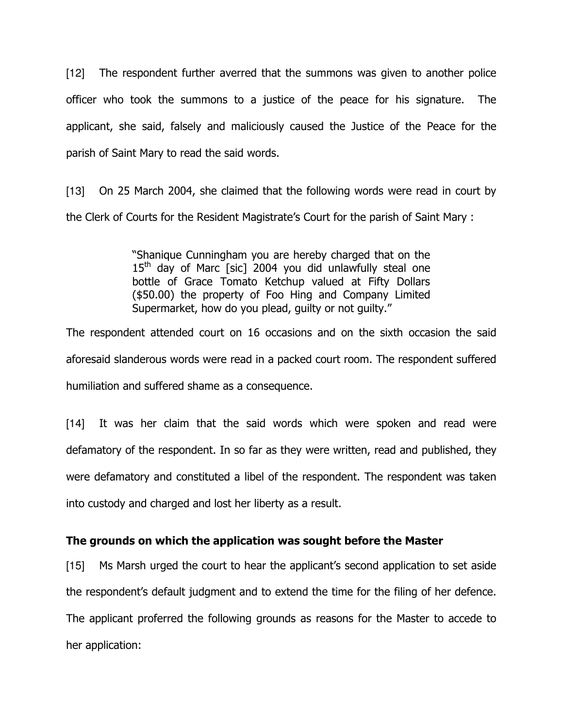[12] The respondent further averred that the summons was given to another police officer who took the summons to a justice of the peace for his signature. The applicant, she said, falsely and maliciously caused the Justice of the Peace for the parish of Saint Mary to read the said words.

[13] On 25 March 2004, she claimed that the following words were read in court by the Clerk of Courts for the Resident Magistrate's Court for the parish of Saint Mary :

> "Shanique Cunningham you are hereby charged that on the  $15<sup>th</sup>$  day of Marc [sic] 2004 you did unlawfully steal one bottle of Grace Tomato Ketchup valued at Fifty Dollars (\$50.00) the property of Foo Hing and Company Limited Supermarket, how do you plead, guilty or not guilty."

The respondent attended court on 16 occasions and on the sixth occasion the said aforesaid slanderous words were read in a packed court room. The respondent suffered humiliation and suffered shame as a consequence.

[14] It was her claim that the said words which were spoken and read were defamatory of the respondent. In so far as they were written, read and published, they were defamatory and constituted a libel of the respondent. The respondent was taken into custody and charged and lost her liberty as a result.

# The grounds on which the application was sought before the Master

[15] Ms Marsh urged the court to hear the applicant's second application to set aside the respondent's default judgment and to extend the time for the filing of her defence. The applicant proferred the following grounds as reasons for the Master to accede to her application: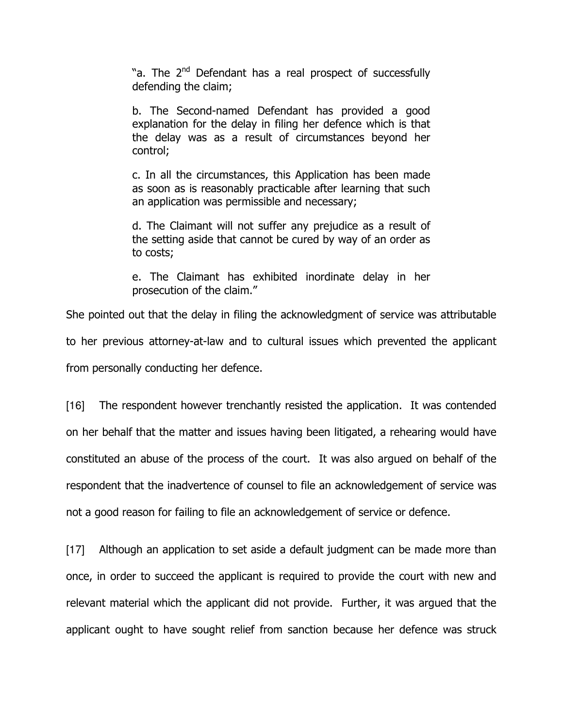"a. The 2<sup>nd</sup> Defendant has a real prospect of successfully defending the claim;

b. The Second-named Defendant has provided a good explanation for the delay in filing her defence which is that the delay was as a result of circumstances beyond her control;

c. In all the circumstances, this Application has been made as soon as is reasonably practicable after learning that such an application was permissible and necessary;

d. The Claimant will not suffer any prejudice as a result of the setting aside that cannot be cured by way of an order as to costs;

e. The Claimant has exhibited inordinate delay in her prosecution of the claim."

She pointed out that the delay in filing the acknowledgment of service was attributable to her previous attorney-at-law and to cultural issues which prevented the applicant from personally conducting her defence.

[16] The respondent however trenchantly resisted the application. It was contended on her behalf that the matter and issues having been litigated, a rehearing would have constituted an abuse of the process of the court. It was also argued on behalf of the respondent that the inadvertence of counsel to file an acknowledgement of service was not a good reason for failing to file an acknowledgement of service or defence.

[17] Although an application to set aside a default judgment can be made more than once, in order to succeed the applicant is required to provide the court with new and relevant material which the applicant did not provide. Further, it was argued that the applicant ought to have sought relief from sanction because her defence was struck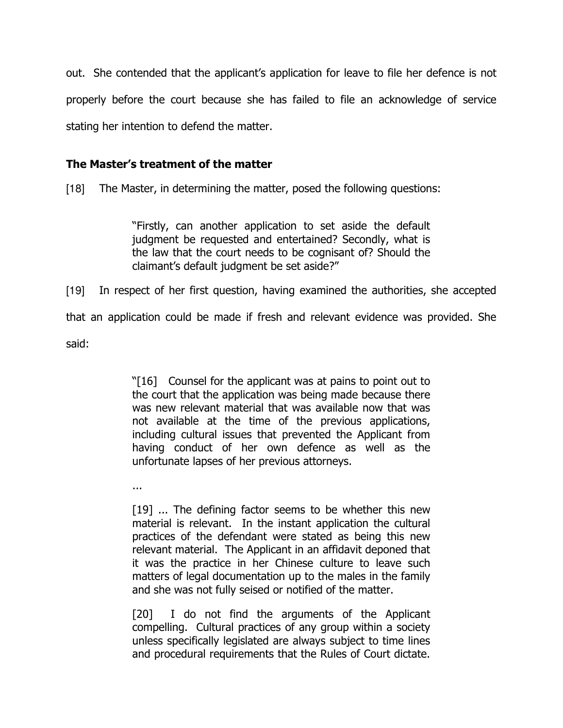out. She contended that the applicant's application for leave to file her defence is not properly before the court because she has failed to file an acknowledge of service stating her intention to defend the matter.

# The Master's treatment of the matter

[18] The Master, in determining the matter, posed the following questions:

"Firstly, can another application to set aside the default judgment be requested and entertained? Secondly, what is the law that the court needs to be cognisant of? Should the claimant's default judgment be set aside?"

[19] In respect of her first question, having examined the authorities, she accepted that an application could be made if fresh and relevant evidence was provided. She said:

> "[16] Counsel for the applicant was at pains to point out to the court that the application was being made because there was new relevant material that was available now that was not available at the time of the previous applications, including cultural issues that prevented the Applicant from having conduct of her own defence as well as the unfortunate lapses of her previous attorneys.

...

[19] ... The defining factor seems to be whether this new material is relevant. In the instant application the cultural practices of the defendant were stated as being this new relevant material. The Applicant in an affidavit deponed that it was the practice in her Chinese culture to leave such matters of legal documentation up to the males in the family and she was not fully seised or notified of the matter.

[20] I do not find the arguments of the Applicant compelling. Cultural practices of any group within a society unless specifically legislated are always subject to time lines and procedural requirements that the Rules of Court dictate.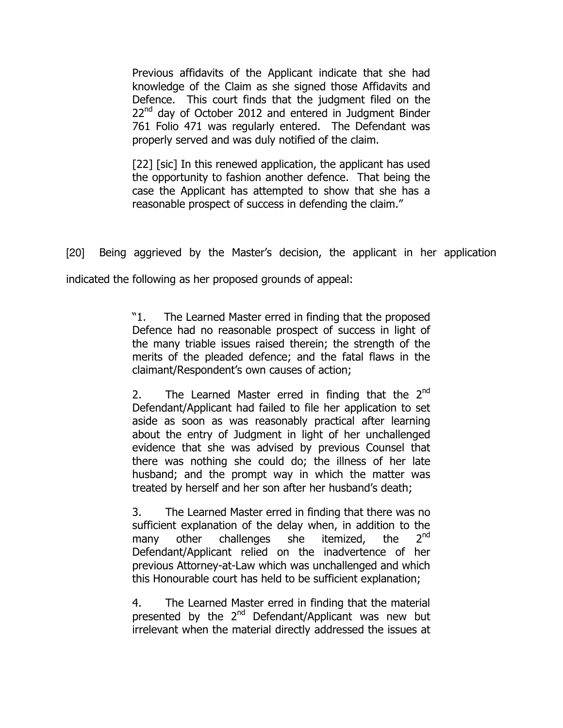Previous affidavits of the Applicant indicate that she had knowledge of the Claim as she signed those Affidavits and Defence. This court finds that the judgment filed on the  $22^{nd}$  day of October 2012 and entered in Judgment Binder 761 Folio 471 was regularly entered. The Defendant was properly served and was duly notified of the claim.

[22] [sic] In this renewed application, the applicant has used the opportunity to fashion another defence. That being the case the Applicant has attempted to show that she has a reasonable prospect of success in defending the claim."

[20] Being aggrieved by the Master's decision, the applicant in her application

indicated the following as her proposed grounds of appeal:

"1. The Learned Master erred in finding that the proposed Defence had no reasonable prospect of success in light of the many triable issues raised therein; the strength of the merits of the pleaded defence; and the fatal flaws in the claimant/Respondent's own causes of action;

2. The Learned Master erred in finding that the  $2^{nd}$ Defendant/Applicant had failed to file her application to set aside as soon as was reasonably practical after learning about the entry of Judgment in light of her unchallenged evidence that she was advised by previous Counsel that there was nothing she could do; the illness of her late husband; and the prompt way in which the matter was treated by herself and her son after her husband's death;

3. The Learned Master erred in finding that there was no sufficient explanation of the delay when, in addition to the many other challenges she itemized, the 2<sup>nd</sup> Defendant/Applicant relied on the inadvertence of her previous Attorney-at-Law which was unchallenged and which this Honourable court has held to be sufficient explanation;

4. The Learned Master erred in finding that the material presented by the  $2^{nd}$  Defendant/Applicant was new but irrelevant when the material directly addressed the issues at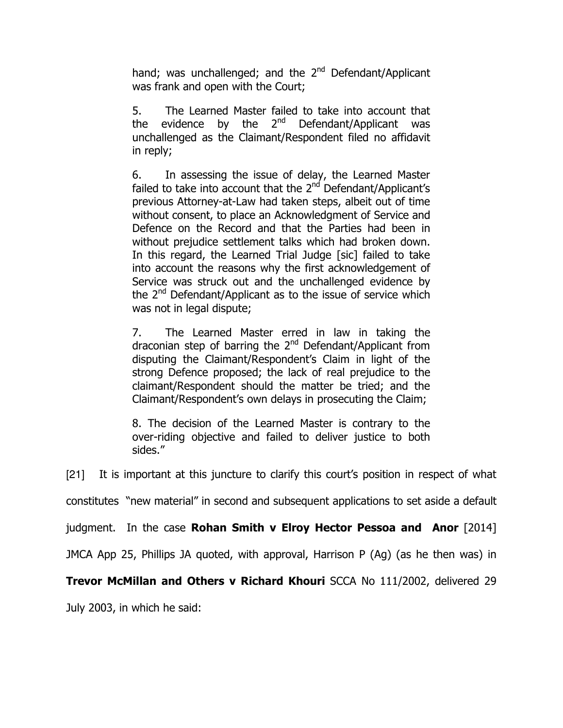hand; was unchallenged; and the  $2^{nd}$  Defendant/Applicant was frank and open with the Court;

5. The Learned Master failed to take into account that the evidence by the  $2^{nd}$  Defendant/Applicant was unchallenged as the Claimant/Respondent filed no affidavit in reply;

6. In assessing the issue of delay, the Learned Master failed to take into account that the  $2<sup>nd</sup>$  Defendant/Applicant's previous Attorney-at-Law had taken steps, albeit out of time without consent, to place an Acknowledgment of Service and Defence on the Record and that the Parties had been in without prejudice settlement talks which had broken down. In this regard, the Learned Trial Judge [sic] failed to take into account the reasons why the first acknowledgement of Service was struck out and the unchallenged evidence by the 2<sup>nd</sup> Defendant/Applicant as to the issue of service which was not in legal dispute;

7. The Learned Master erred in law in taking the draconian step of barring the 2<sup>nd</sup> Defendant/Applicant from disputing the Claimant/Respondent's Claim in light of the strong Defence proposed; the lack of real prejudice to the claimant/Respondent should the matter be tried; and the Claimant/Respondent's own delays in prosecuting the Claim;

8. The decision of the Learned Master is contrary to the over-riding objective and failed to deliver justice to both sides."

[21] It is important at this juncture to clarify this court's position in respect of what

constitutes "new material" in second and subsequent applications to set aside a default

judgment. In the case Rohan Smith v Elroy Hector Pessoa and Anor [2014]

JMCA App 25, Phillips JA quoted, with approval, Harrison P (Ag) (as he then was) in

# Trevor McMillan and Others v Richard Khouri SCCA No 111/2002, delivered 29

July 2003, in which he said: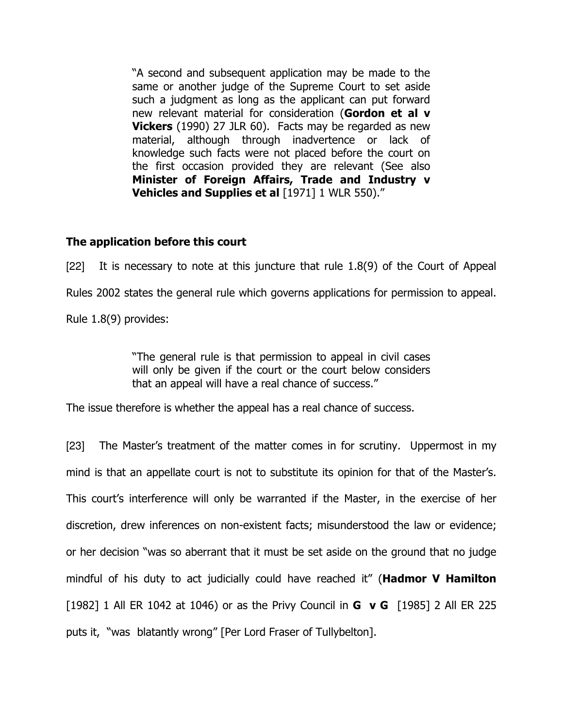"A second and subsequent application may be made to the same or another judge of the Supreme Court to set aside such a judgment as long as the applicant can put forward new relevant material for consideration (Gordon et al v Vickers (1990) 27 JLR 60). Facts may be regarded as new material, although through inadvertence or lack of knowledge such facts were not placed before the court on the first occasion provided they are relevant (See also Minister of Foreign Affairs, Trade and Industry v Vehicles and Supplies et al [1971] 1 WLR 550)."

## The application before this court

[22] It is necessary to note at this juncture that rule 1.8(9) of the Court of Appeal Rules 2002 states the general rule which governs applications for permission to appeal. Rule 1.8(9) provides:

> "The general rule is that permission to appeal in civil cases will only be given if the court or the court below considers that an appeal will have a real chance of success."

The issue therefore is whether the appeal has a real chance of success.

[23] The Master's treatment of the matter comes in for scrutiny. Uppermost in my mind is that an appellate court is not to substitute its opinion for that of the Master's. This court's interference will only be warranted if the Master, in the exercise of her discretion, drew inferences on non-existent facts; misunderstood the law or evidence; or her decision "was so aberrant that it must be set aside on the ground that no judge mindful of his duty to act judicially could have reached it" (**Hadmor V Hamilton** [1982] 1 All ER 1042 at 1046) or as the Privy Council in **G v G** [1985] 2 All ER 225 puts it, "was blatantly wrong" [Per Lord Fraser of Tullybelton].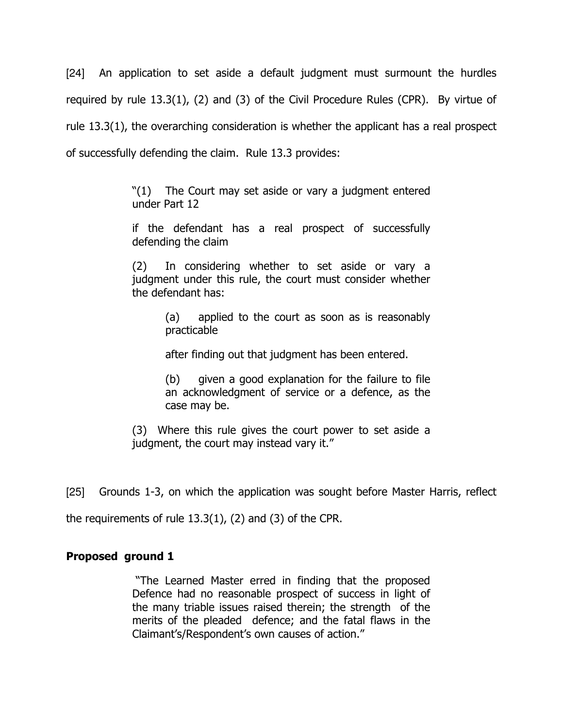[24] An application to set aside a default judgment must surmount the hurdles required by rule 13.3(1), (2) and (3) of the Civil Procedure Rules (CPR). By virtue of rule 13.3(1), the overarching consideration is whether the applicant has a real prospect of successfully defending the claim. Rule 13.3 provides:

> "(1) The Court may set aside or vary a judgment entered under Part 12

> if the defendant has a real prospect of successfully defending the claim

> (2) In considering whether to set aside or vary a judgment under this rule, the court must consider whether the defendant has:

> > (a) applied to the court as soon as is reasonably practicable

after finding out that judgment has been entered.

(b) given a good explanation for the failure to file an acknowledgment of service or a defence, as the case may be.

(3) Where this rule gives the court power to set aside a judgment, the court may instead vary it."

[25] Grounds 1-3, on which the application was sought before Master Harris, reflect

the requirements of rule 13.3(1), (2) and (3) of the CPR.

## Proposed ground 1

 "The Learned Master erred in finding that the proposed Defence had no reasonable prospect of success in light of the many triable issues raised therein; the strength of the merits of the pleaded defence; and the fatal flaws in the Claimant's/Respondent's own causes of action."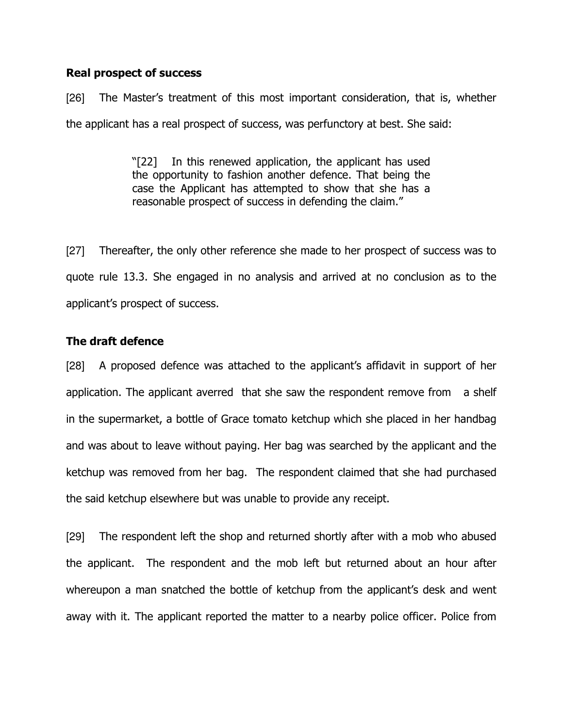## Real prospect of success

[26] The Master's treatment of this most important consideration, that is, whether the applicant has a real prospect of success, was perfunctory at best. She said:

> "[22] In this renewed application, the applicant has used the opportunity to fashion another defence. That being the case the Applicant has attempted to show that she has a reasonable prospect of success in defending the claim."

[27] Thereafter, the only other reference she made to her prospect of success was to quote rule 13.3. She engaged in no analysis and arrived at no conclusion as to the applicant's prospect of success.

## The draft defence

[28] A proposed defence was attached to the applicant's affidavit in support of her application. The applicant averred that she saw the respondent remove from a shelf in the supermarket, a bottle of Grace tomato ketchup which she placed in her handbag and was about to leave without paying. Her bag was searched by the applicant and the ketchup was removed from her bag. The respondent claimed that she had purchased the said ketchup elsewhere but was unable to provide any receipt.

[29] The respondent left the shop and returned shortly after with a mob who abused the applicant. The respondent and the mob left but returned about an hour after whereupon a man snatched the bottle of ketchup from the applicant's desk and went away with it. The applicant reported the matter to a nearby police officer. Police from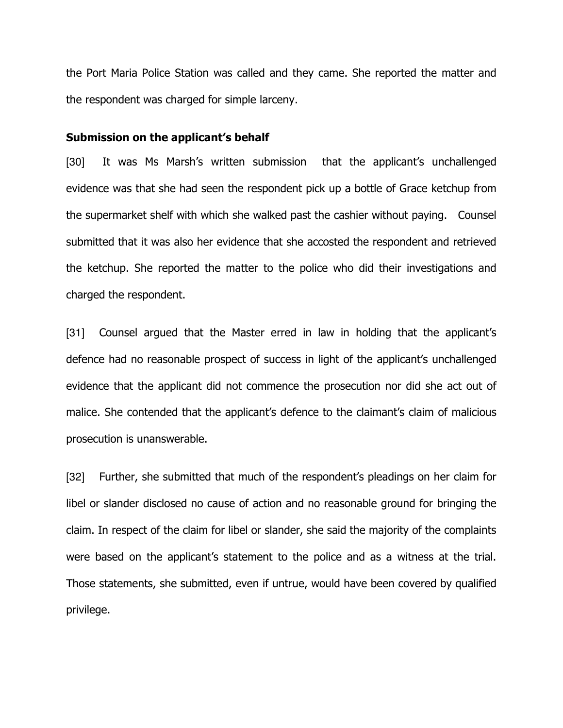the Port Maria Police Station was called and they came. She reported the matter and the respondent was charged for simple larceny.

#### Submission on the applicant's behalf

[30] It was Ms Marsh's written submission that the applicant's unchallenged evidence was that she had seen the respondent pick up a bottle of Grace ketchup from the supermarket shelf with which she walked past the cashier without paying. Counsel submitted that it was also her evidence that she accosted the respondent and retrieved the ketchup. She reported the matter to the police who did their investigations and charged the respondent.

[31] Counsel argued that the Master erred in law in holding that the applicant's defence had no reasonable prospect of success in light of the applicant's unchallenged evidence that the applicant did not commence the prosecution nor did she act out of malice. She contended that the applicant's defence to the claimant's claim of malicious prosecution is unanswerable.

[32] Further, she submitted that much of the respondent's pleadings on her claim for libel or slander disclosed no cause of action and no reasonable ground for bringing the claim. In respect of the claim for libel or slander, she said the majority of the complaints were based on the applicant's statement to the police and as a witness at the trial. Those statements, she submitted, even if untrue, would have been covered by qualified privilege.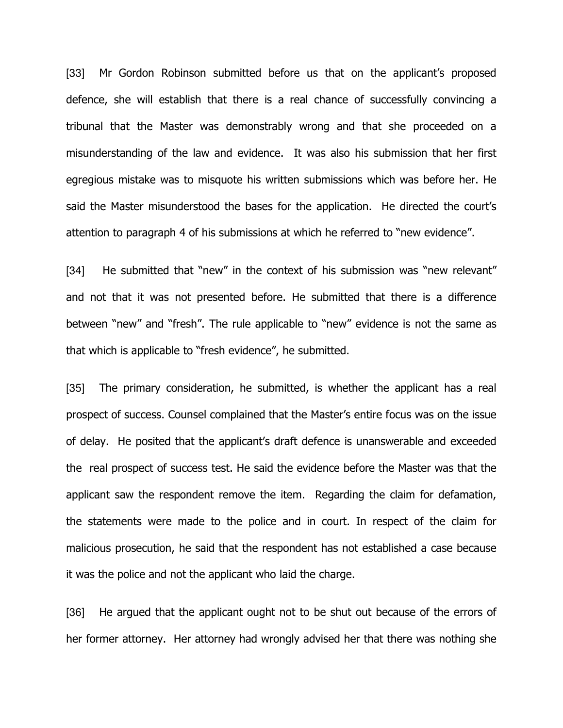[33] Mr Gordon Robinson submitted before us that on the applicant's proposed defence, she will establish that there is a real chance of successfully convincing a tribunal that the Master was demonstrably wrong and that she proceeded on a misunderstanding of the law and evidence. It was also his submission that her first egregious mistake was to misquote his written submissions which was before her. He said the Master misunderstood the bases for the application. He directed the court's attention to paragraph 4 of his submissions at which he referred to "new evidence".

[34] He submitted that "new" in the context of his submission was "new relevant" and not that it was not presented before. He submitted that there is a difference between "new" and "fresh". The rule applicable to "new" evidence is not the same as that which is applicable to "fresh evidence", he submitted.

[35] The primary consideration, he submitted, is whether the applicant has a real prospect of success. Counsel complained that the Master's entire focus was on the issue of delay. He posited that the applicant's draft defence is unanswerable and exceeded the real prospect of success test. He said the evidence before the Master was that the applicant saw the respondent remove the item. Regarding the claim for defamation, the statements were made to the police and in court. In respect of the claim for malicious prosecution, he said that the respondent has not established a case because it was the police and not the applicant who laid the charge.

[36] He argued that the applicant ought not to be shut out because of the errors of her former attorney. Her attorney had wrongly advised her that there was nothing she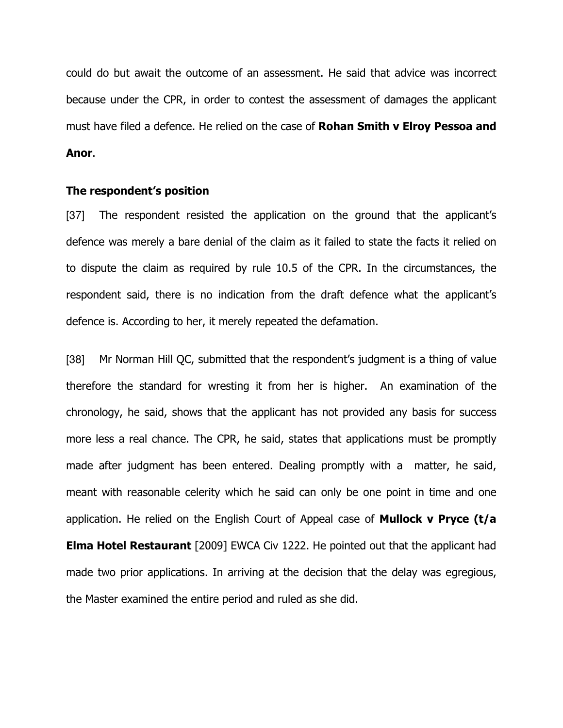could do but await the outcome of an assessment. He said that advice was incorrect because under the CPR, in order to contest the assessment of damages the applicant must have filed a defence. He relied on the case of Rohan Smith v Elroy Pessoa and Anor.

#### The respondent's position

[37] The respondent resisted the application on the ground that the applicant's defence was merely a bare denial of the claim as it failed to state the facts it relied on to dispute the claim as required by rule 10.5 of the CPR. In the circumstances, the respondent said, there is no indication from the draft defence what the applicant's defence is. According to her, it merely repeated the defamation.

[38] Mr Norman Hill QC, submitted that the respondent's judgment is a thing of value therefore the standard for wresting it from her is higher. An examination of the chronology, he said, shows that the applicant has not provided any basis for success more less a real chance. The CPR, he said, states that applications must be promptly made after judgment has been entered. Dealing promptly with a matter, he said, meant with reasonable celerity which he said can only be one point in time and one application. He relied on the English Court of Appeal case of **Mullock v Pryce (t/a Elma Hotel Restaurant** [2009] EWCA Civ 1222. He pointed out that the applicant had made two prior applications. In arriving at the decision that the delay was egregious, the Master examined the entire period and ruled as she did.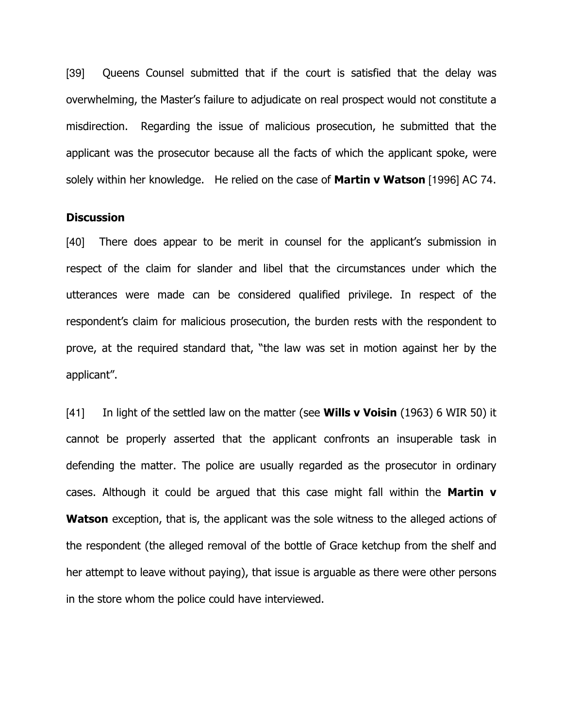[39] Queens Counsel submitted that if the court is satisfied that the delay was overwhelming, the Master's failure to adjudicate on real prospect would not constitute a misdirection. Regarding the issue of malicious prosecution, he submitted that the applicant was the prosecutor because all the facts of which the applicant spoke, were solely within her knowledge. He relied on the case of **Martin v Watson** [1996] AC 74.

#### **Discussion**

[40] There does appear to be merit in counsel for the applicant's submission in respect of the claim for slander and libel that the circumstances under which the utterances were made can be considered qualified privilege. In respect of the respondent's claim for malicious prosecution, the burden rests with the respondent to prove, at the required standard that, "the law was set in motion against her by the applicant".

[41] In light of the settled law on the matter (see **Wills v Voisin** (1963) 6 WIR 50) it cannot be properly asserted that the applicant confronts an insuperable task in defending the matter. The police are usually regarded as the prosecutor in ordinary cases. Although it could be argued that this case might fall within the **Martin**  $v$ **Watson** exception, that is, the applicant was the sole witness to the alleged actions of the respondent (the alleged removal of the bottle of Grace ketchup from the shelf and her attempt to leave without paying), that issue is arguable as there were other persons in the store whom the police could have interviewed.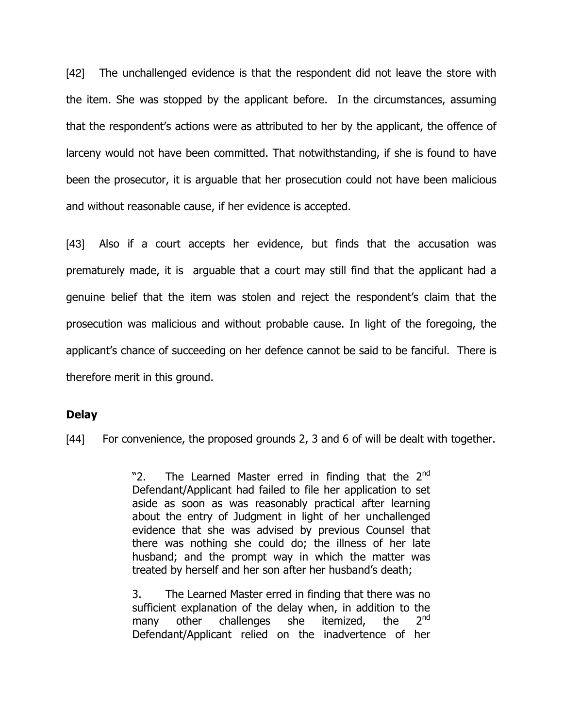[42] The unchallenged evidence is that the respondent did not leave the store with the item. She was stopped by the applicant before. In the circumstances, assuming that the respondent's actions were as attributed to her by the applicant, the offence of larceny would not have been committed. That notwithstanding, if she is found to have been the prosecutor, it is arguable that her prosecution could not have been malicious and without reasonable cause, if her evidence is accepted.

[43] Also if a court accepts her evidence, but finds that the accusation was prematurely made, it is arguable that a court may still find that the applicant had a genuine belief that the item was stolen and reject the respondent's claim that the prosecution was malicious and without probable cause. In light of the foregoing, the applicant's chance of succeeding on her defence cannot be said to be fanciful. There is therefore merit in this ground.

#### Delay

[44] For convenience, the proposed grounds 2, 3 and 6 of will be dealt with together.

"2. The Learned Master erred in finding that the 2<sup>nd</sup> Defendant/Applicant had failed to file her application to set aside as soon as was reasonably practical after learning about the entry of Judgment in light of her unchallenged evidence that she was advised by previous Counsel that there was nothing she could do; the illness of her late husband; and the prompt way in which the matter was treated by herself and her son after her husband's death;

3. The Learned Master erred in finding that there was no sufficient explanation of the delay when, in addition to the many other challenges she itemized, the  $2^{nd}$ Defendant/Applicant relied on the inadvertence of her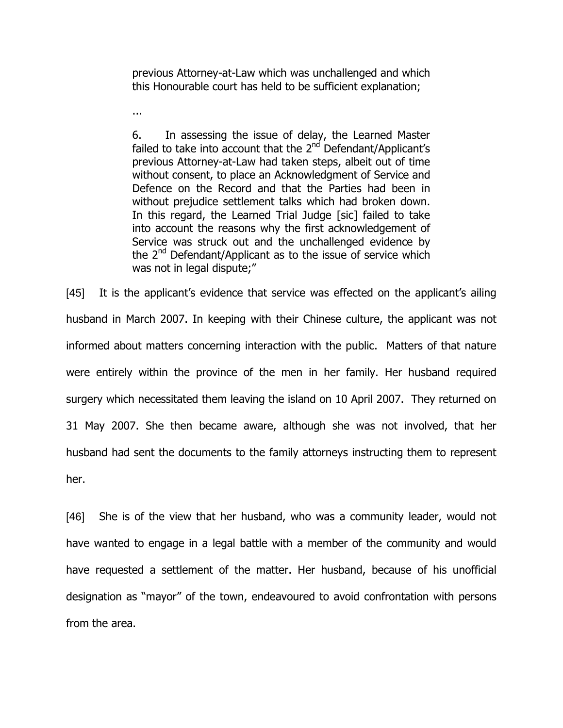previous Attorney-at-Law which was unchallenged and which this Honourable court has held to be sufficient explanation;

...

6. In assessing the issue of delay, the Learned Master failed to take into account that the  $2<sup>nd</sup>$  Defendant/Applicant's previous Attorney-at-Law had taken steps, albeit out of time without consent, to place an Acknowledgment of Service and Defence on the Record and that the Parties had been in without prejudice settlement talks which had broken down. In this regard, the Learned Trial Judge [sic] failed to take into account the reasons why the first acknowledgement of Service was struck out and the unchallenged evidence by the 2<sup>nd</sup> Defendant/Applicant as to the issue of service which was not in legal dispute;"

[45] It is the applicant's evidence that service was effected on the applicant's ailing husband in March 2007. In keeping with their Chinese culture, the applicant was not informed about matters concerning interaction with the public. Matters of that nature were entirely within the province of the men in her family. Her husband required surgery which necessitated them leaving the island on 10 April 2007. They returned on 31 May 2007. She then became aware, although she was not involved, that her husband had sent the documents to the family attorneys instructing them to represent her.

[46] She is of the view that her husband, who was a community leader, would not have wanted to engage in a legal battle with a member of the community and would have requested a settlement of the matter. Her husband, because of his unofficial designation as "mayor" of the town, endeavoured to avoid confrontation with persons from the area.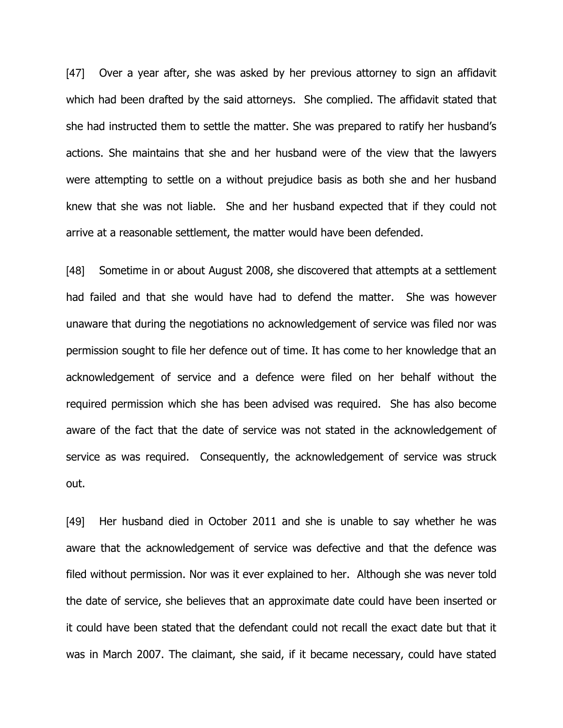[47] Over a year after, she was asked by her previous attorney to sign an affidavit which had been drafted by the said attorneys. She complied. The affidavit stated that she had instructed them to settle the matter. She was prepared to ratify her husband's actions. She maintains that she and her husband were of the view that the lawyers were attempting to settle on a without prejudice basis as both she and her husband knew that she was not liable. She and her husband expected that if they could not arrive at a reasonable settlement, the matter would have been defended.

[48] Sometime in or about August 2008, she discovered that attempts at a settlement had failed and that she would have had to defend the matter. She was however unaware that during the negotiations no acknowledgement of service was filed nor was permission sought to file her defence out of time. It has come to her knowledge that an acknowledgement of service and a defence were filed on her behalf without the required permission which she has been advised was required. She has also become aware of the fact that the date of service was not stated in the acknowledgement of service as was required. Consequently, the acknowledgement of service was struck out.

[49] Her husband died in October 2011 and she is unable to say whether he was aware that the acknowledgement of service was defective and that the defence was filed without permission. Nor was it ever explained to her. Although she was never told the date of service, she believes that an approximate date could have been inserted or it could have been stated that the defendant could not recall the exact date but that it was in March 2007. The claimant, she said, if it became necessary, could have stated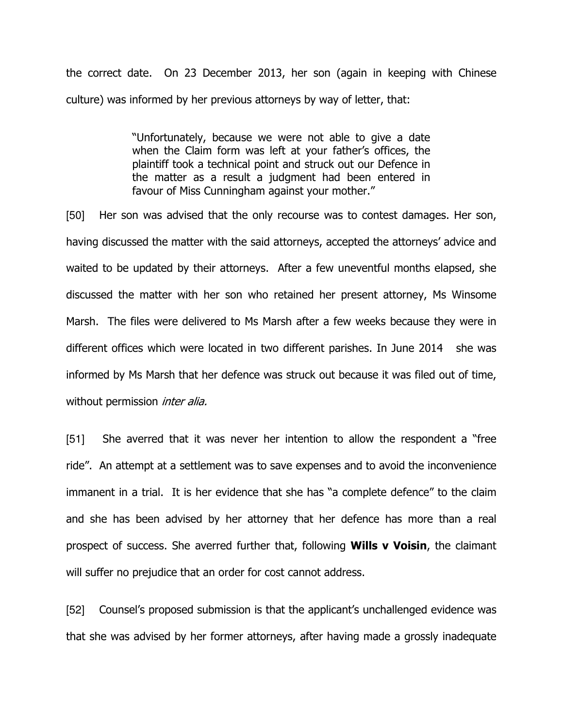the correct date. On 23 December 2013, her son (again in keeping with Chinese culture) was informed by her previous attorneys by way of letter, that:

> "Unfortunately, because we were not able to give a date when the Claim form was left at your father's offices, the plaintiff took a technical point and struck out our Defence in the matter as a result a judgment had been entered in favour of Miss Cunningham against your mother."

[50] Her son was advised that the only recourse was to contest damages. Her son, having discussed the matter with the said attorneys, accepted the attorneys' advice and waited to be updated by their attorneys. After a few uneventful months elapsed, she discussed the matter with her son who retained her present attorney, Ms Winsome Marsh. The files were delivered to Ms Marsh after a few weeks because they were in different offices which were located in two different parishes. In June 2014 she was informed by Ms Marsh that her defence was struck out because it was filed out of time, without permission *inter alia.* 

[51] She averred that it was never her intention to allow the respondent a "free ride". An attempt at a settlement was to save expenses and to avoid the inconvenience immanent in a trial. It is her evidence that she has "a complete defence" to the claim and she has been advised by her attorney that her defence has more than a real prospect of success. She averred further that, following **Wills v Voisin**, the claimant will suffer no prejudice that an order for cost cannot address.

[52] Counsel's proposed submission is that the applicant's unchallenged evidence was that she was advised by her former attorneys, after having made a grossly inadequate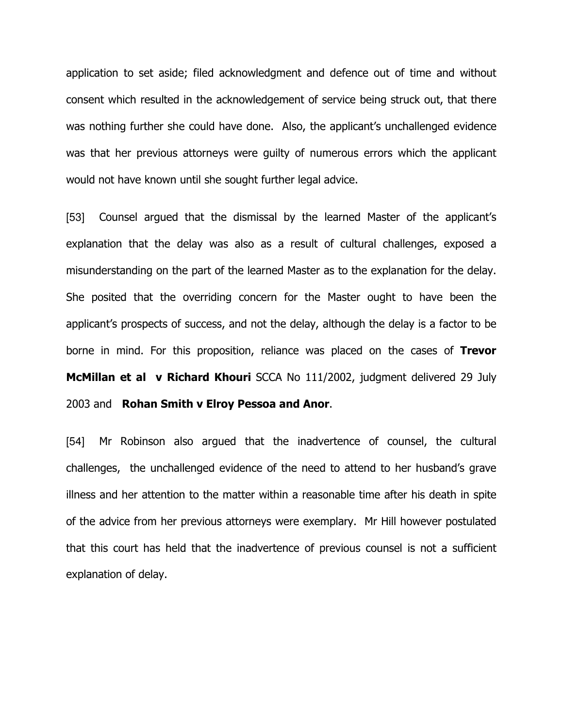application to set aside; filed acknowledgment and defence out of time and without consent which resulted in the acknowledgement of service being struck out, that there was nothing further she could have done. Also, the applicant's unchallenged evidence was that her previous attorneys were guilty of numerous errors which the applicant would not have known until she sought further legal advice.

[53] Counsel argued that the dismissal by the learned Master of the applicant's explanation that the delay was also as a result of cultural challenges, exposed a misunderstanding on the part of the learned Master as to the explanation for the delay. She posited that the overriding concern for the Master ought to have been the applicant's prospects of success, and not the delay, although the delay is a factor to be borne in mind. For this proposition, reliance was placed on the cases of Trevor McMillan et al v Richard Khouri SCCA No 111/2002, judgment delivered 29 July 2003 and Rohan Smith v Elroy Pessoa and Anor.

[54] Mr Robinson also argued that the inadvertence of counsel, the cultural challenges, the unchallenged evidence of the need to attend to her husband's grave illness and her attention to the matter within a reasonable time after his death in spite of the advice from her previous attorneys were exemplary. Mr Hill however postulated that this court has held that the inadvertence of previous counsel is not a sufficient explanation of delay.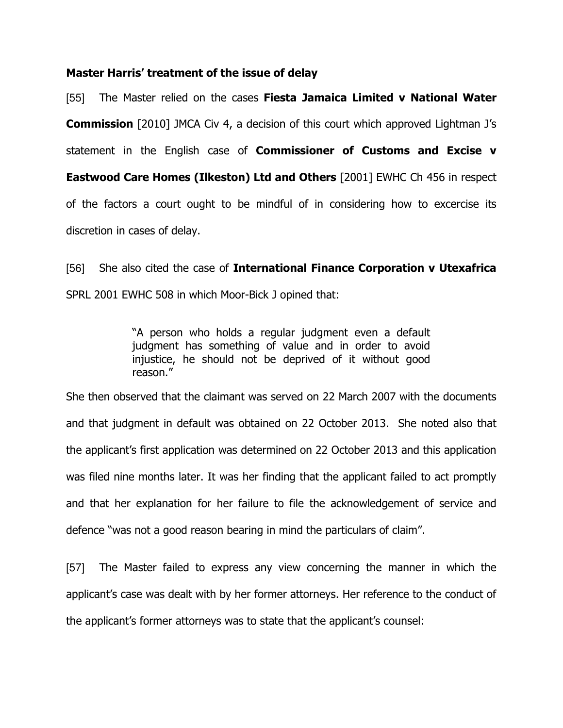#### Master Harris' treatment of the issue of delay

[55] The Master relied on the cases Fiesta Jamaica Limited v National Water **Commission** [2010] JMCA Civ 4, a decision of this court which approved Lightman J's statement in the English case of **Commissioner of Customs and Excise v** Eastwood Care Homes (Ilkeston) Ltd and Others [2001] EWHC Ch 456 in respect of the factors a court ought to be mindful of in considering how to excercise its discretion in cases of delay.

[56] She also cited the case of International Finance Corporation v Utexafrica SPRL 2001 EWHC 508 in which Moor-Bick J opined that:

> "A person who holds a regular judgment even a default judgment has something of value and in order to avoid injustice, he should not be deprived of it without good reason."

She then observed that the claimant was served on 22 March 2007 with the documents and that judgment in default was obtained on 22 October 2013. She noted also that the applicant's first application was determined on 22 October 2013 and this application was filed nine months later. It was her finding that the applicant failed to act promptly and that her explanation for her failure to file the acknowledgement of service and defence "was not a good reason bearing in mind the particulars of claim".

[57] The Master failed to express any view concerning the manner in which the applicant's case was dealt with by her former attorneys. Her reference to the conduct of the applicant's former attorneys was to state that the applicant's counsel: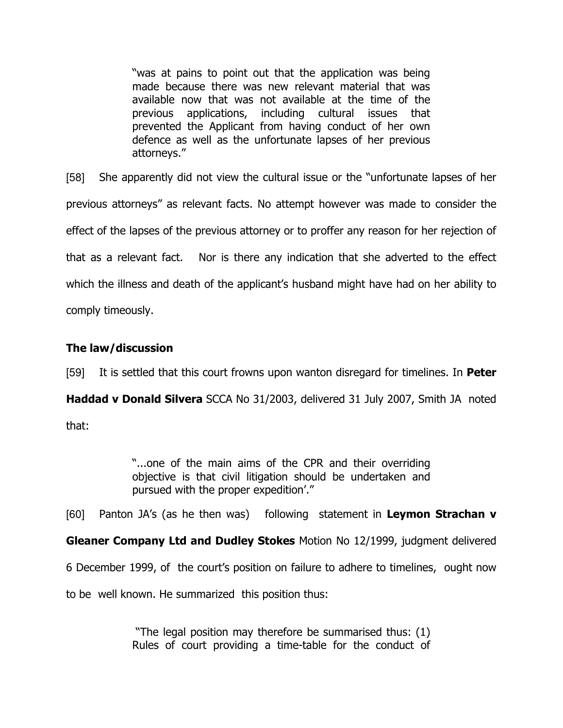"was at pains to point out that the application was being made because there was new relevant material that was available now that was not available at the time of the previous applications, including cultural issues that prevented the Applicant from having conduct of her own defence as well as the unfortunate lapses of her previous attorneys."

[58] She apparently did not view the cultural issue or the "unfortunate lapses of her previous attorneys" as relevant facts. No attempt however was made to consider the effect of the lapses of the previous attorney or to proffer any reason for her rejection of that as a relevant fact. Nor is there any indication that she adverted to the effect which the illness and death of the applicant's husband might have had on her ability to comply timeously.

# The law/discussion

[59] It is settled that this court frowns upon wanton disregard for timelines. In **Peter** 

Haddad v Donald Silvera SCCA No 31/2003, delivered 31 July 2007, Smith JA noted that:

> "...one of the main aims of the CPR and their overriding objective is that civil litigation should be undertaken and pursued with the proper expedition'."

[60] Panton JA's (as he then was) following statement in Leymon Strachan v

Gleaner Company Ltd and Dudley Stokes Motion No 12/1999, judgment delivered

6 December 1999, of the court's position on failure to adhere to timelines, ought now

to be well known. He summarized this position thus:

 "The legal position may therefore be summarised thus: (1) Rules of court providing a time-table for the conduct of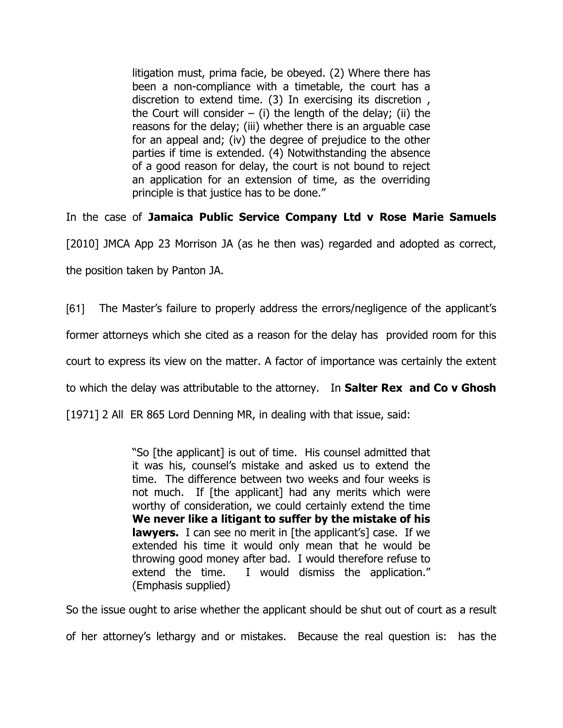litigation must, prima facie, be obeyed. (2) Where there has been a non-compliance with a timetable, the court has a discretion to extend time. (3) In exercising its discretion , the Court will consider – (i) the length of the delay; (ii) the reasons for the delay; (iii) whether there is an arguable case for an appeal and; (iv) the degree of prejudice to the other parties if time is extended. (4) Notwithstanding the absence of a good reason for delay, the court is not bound to reject an application for an extension of time, as the overriding principle is that justice has to be done."

In the case of Jamaica Public Service Company Ltd v Rose Marie Samuels

[2010] JMCA App 23 Morrison JA (as he then was) regarded and adopted as correct,

the position taken by Panton JA.

[61] The Master's failure to properly address the errors/negligence of the applicant's

former attorneys which she cited as a reason for the delay has provided room for this

court to express its view on the matter. A factor of importance was certainly the extent

to which the delay was attributable to the attorney. In **Salter Rex and Co v Ghosh** 

[1971] 2 All ER 865 Lord Denning MR, in dealing with that issue, said:

"So [the applicant] is out of time. His counsel admitted that it was his, counsel's mistake and asked us to extend the time. The difference between two weeks and four weeks is not much. If [the applicant] had any merits which were worthy of consideration, we could certainly extend the time We never like a litigant to suffer by the mistake of his **lawyers.** I can see no merit in [the applicant's] case. If we extended his time it would only mean that he would be throwing good money after bad. I would therefore refuse to extend the time. I would dismiss the application." (Emphasis supplied)

So the issue ought to arise whether the applicant should be shut out of court as a result of her attorney's lethargy and or mistakes. Because the real question is: has the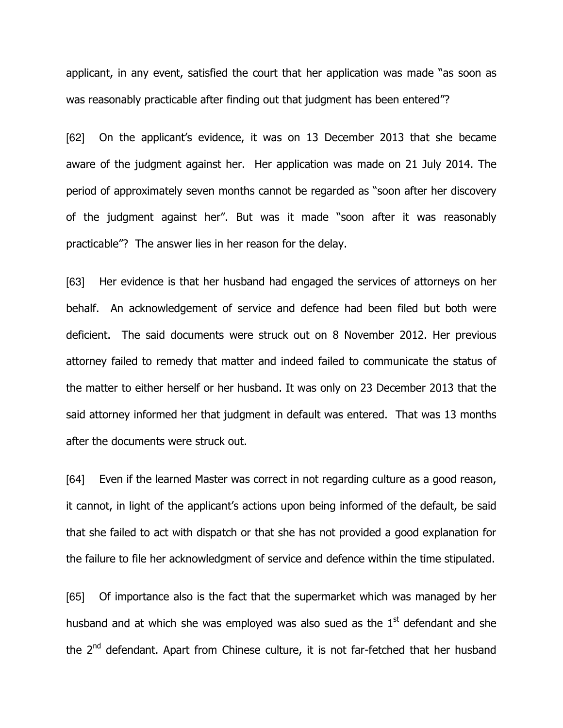applicant, in any event, satisfied the court that her application was made "as soon as was reasonably practicable after finding out that judgment has been entered"?

[62] On the applicant's evidence, it was on 13 December 2013 that she became aware of the judgment against her. Her application was made on 21 July 2014. The period of approximately seven months cannot be regarded as "soon after her discovery of the judgment against her". But was it made "soon after it was reasonably practicable"? The answer lies in her reason for the delay.

[63] Her evidence is that her husband had engaged the services of attorneys on her behalf. An acknowledgement of service and defence had been filed but both were deficient. The said documents were struck out on 8 November 2012. Her previous attorney failed to remedy that matter and indeed failed to communicate the status of the matter to either herself or her husband. It was only on 23 December 2013 that the said attorney informed her that judgment in default was entered. That was 13 months after the documents were struck out.

[64] Even if the learned Master was correct in not regarding culture as a good reason, it cannot, in light of the applicant's actions upon being informed of the default, be said that she failed to act with dispatch or that she has not provided a good explanation for the failure to file her acknowledgment of service and defence within the time stipulated.

[65] Of importance also is the fact that the supermarket which was managed by her husband and at which she was emploved was also sued as the  $1<sup>st</sup>$  defendant and she the 2<sup>nd</sup> defendant. Apart from Chinese culture, it is not far-fetched that her husband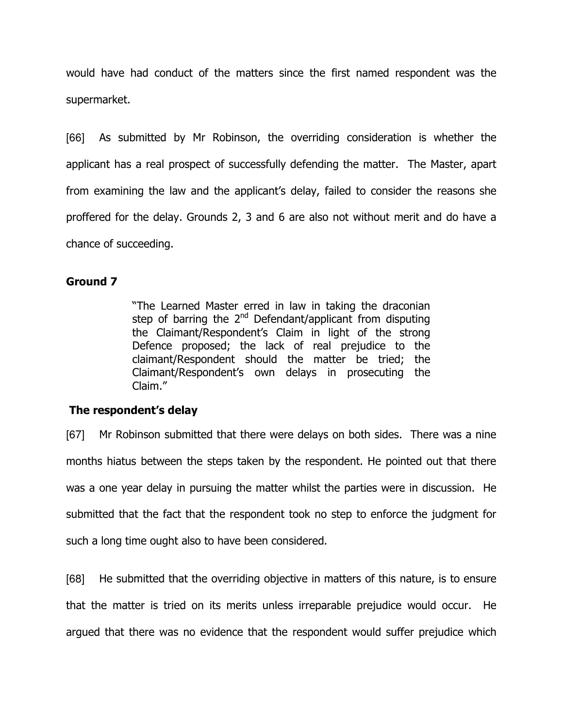would have had conduct of the matters since the first named respondent was the supermarket.

[66] As submitted by Mr Robinson, the overriding consideration is whether the applicant has a real prospect of successfully defending the matter. The Master, apart from examining the law and the applicant's delay, failed to consider the reasons she proffered for the delay. Grounds 2, 3 and 6 are also not without merit and do have a chance of succeeding.

## Ground 7

"The Learned Master erred in law in taking the draconian step of barring the 2<sup>nd</sup> Defendant/applicant from disputing the Claimant/Respondent's Claim in light of the strong Defence proposed; the lack of real prejudice to the claimant/Respondent should the matter be tried; the Claimant/Respondent's own delays in prosecuting the Claim."

## The respondent's delay

[67] Mr Robinson submitted that there were delays on both sides. There was a nine months hiatus between the steps taken by the respondent. He pointed out that there was a one year delay in pursuing the matter whilst the parties were in discussion. He submitted that the fact that the respondent took no step to enforce the judgment for such a long time ought also to have been considered.

[68] He submitted that the overriding objective in matters of this nature, is to ensure that the matter is tried on its merits unless irreparable prejudice would occur. He argued that there was no evidence that the respondent would suffer prejudice which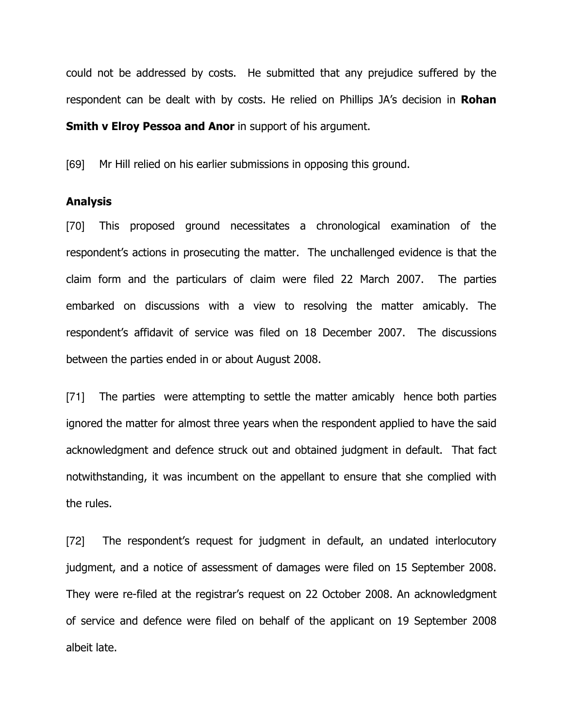could not be addressed by costs. He submitted that any prejudice suffered by the respondent can be dealt with by costs. He relied on Phillips JA's decision in Rohan **Smith v Elroy Pessoa and Anor** in support of his argument.

[69] Mr Hill relied on his earlier submissions in opposing this ground.

#### Analysis

[70] This proposed ground necessitates a chronological examination of the respondent's actions in prosecuting the matter. The unchallenged evidence is that the claim form and the particulars of claim were filed 22 March 2007. The parties embarked on discussions with a view to resolving the matter amicably. The respondent's affidavit of service was filed on 18 December 2007. The discussions between the parties ended in or about August 2008.

[71] The parties were attempting to settle the matter amicably hence both parties ignored the matter for almost three years when the respondent applied to have the said acknowledgment and defence struck out and obtained judgment in default. That fact notwithstanding, it was incumbent on the appellant to ensure that she complied with the rules.

[72] The respondent's request for judgment in default, an undated interlocutory judgment, and a notice of assessment of damages were filed on 15 September 2008. They were re-filed at the registrar's request on 22 October 2008. An acknowledgment of service and defence were filed on behalf of the applicant on 19 September 2008 albeit late.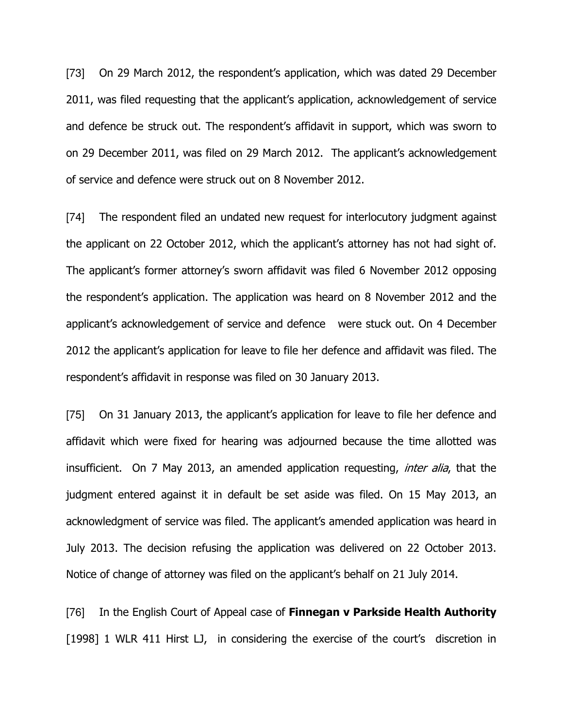[73] On 29 March 2012, the respondent's application, which was dated 29 December 2011, was filed requesting that the applicant's application, acknowledgement of service and defence be struck out. The respondent's affidavit in support, which was sworn to on 29 December 2011, was filed on 29 March 2012. The applicant's acknowledgement of service and defence were struck out on 8 November 2012.

[74] The respondent filed an undated new request for interlocutory judgment against the applicant on 22 October 2012, which the applicant's attorney has not had sight of. The applicant's former attorney's sworn affidavit was filed 6 November 2012 opposing the respondent's application. The application was heard on 8 November 2012 and the applicant's acknowledgement of service and defence were stuck out. On 4 December 2012 the applicant's application for leave to file her defence and affidavit was filed. The respondent's affidavit in response was filed on 30 January 2013.

[75] On 31 January 2013, the applicant's application for leave to file her defence and affidavit which were fixed for hearing was adjourned because the time allotted was insufficient. On 7 May 2013, an amended application requesting, *inter alia*, that the judgment entered against it in default be set aside was filed. On 15 May 2013, an acknowledgment of service was filed. The applicant's amended application was heard in July 2013. The decision refusing the application was delivered on 22 October 2013. Notice of change of attorney was filed on the applicant's behalf on 21 July 2014.

[76] In the English Court of Appeal case of Finnegan v Parkside Health Authority [1998] 1 WLR 411 Hirst LJ, in considering the exercise of the court's discretion in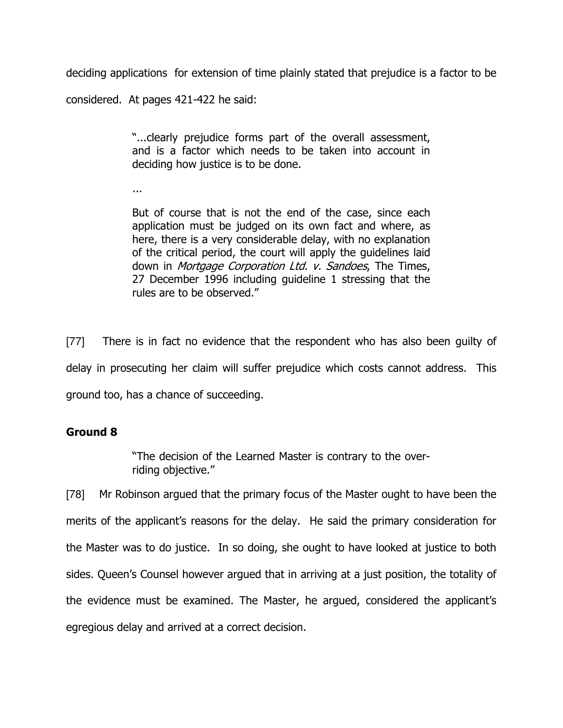deciding applications for extension of time plainly stated that prejudice is a factor to be considered. At pages 421-422 he said:

> "...clearly prejudice forms part of the overall assessment, and is a factor which needs to be taken into account in deciding how justice is to be done.

...

But of course that is not the end of the case, since each application must be judged on its own fact and where, as here, there is a very considerable delay, with no explanation of the critical period, the court will apply the guidelines laid down in *Mortgage Corporation Ltd. v. Sandoes*, The Times, 27 December 1996 including guideline 1 stressing that the rules are to be observed."

[77] There is in fact no evidence that the respondent who has also been guilty of delay in prosecuting her claim will suffer prejudice which costs cannot address. This ground too, has a chance of succeeding.

# Ground 8

"The decision of the Learned Master is contrary to the overriding objective."

[78] Mr Robinson argued that the primary focus of the Master ought to have been the merits of the applicant's reasons for the delay. He said the primary consideration for the Master was to do justice. In so doing, she ought to have looked at justice to both sides. Queen's Counsel however argued that in arriving at a just position, the totality of the evidence must be examined. The Master, he argued, considered the applicant's egregious delay and arrived at a correct decision.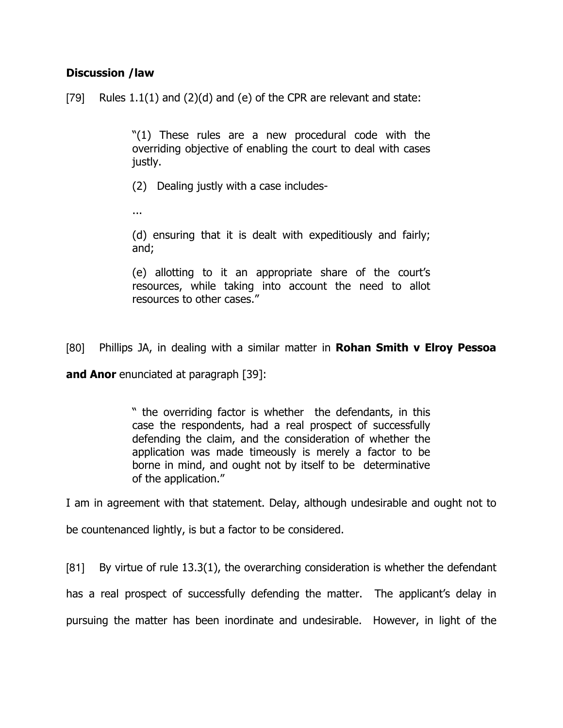## Discussion /law

[79] Rules  $1.1(1)$  and  $(2)(d)$  and  $(e)$  of the CPR are relevant and state:

"(1) These rules are a new procedural code with the overriding objective of enabling the court to deal with cases justly.

(2) Dealing justly with a case includes-

...

(d) ensuring that it is dealt with expeditiously and fairly; and;

(e) allotting to it an appropriate share of the court's resources, while taking into account the need to allot resources to other cases."

[80] Phillips JA, in dealing with a similar matter in **Rohan Smith v Elroy Pessoa** 

and Anor enunciated at paragraph [39]:

" the overriding factor is whether the defendants, in this case the respondents, had a real prospect of successfully defending the claim, and the consideration of whether the application was made timeously is merely a factor to be borne in mind, and ought not by itself to be determinative of the application."

I am in agreement with that statement. Delay, although undesirable and ought not to

be countenanced lightly, is but a factor to be considered.

[81] By virtue of rule 13.3(1), the overarching consideration is whether the defendant has a real prospect of successfully defending the matter. The applicant's delay in pursuing the matter has been inordinate and undesirable. However, in light of the